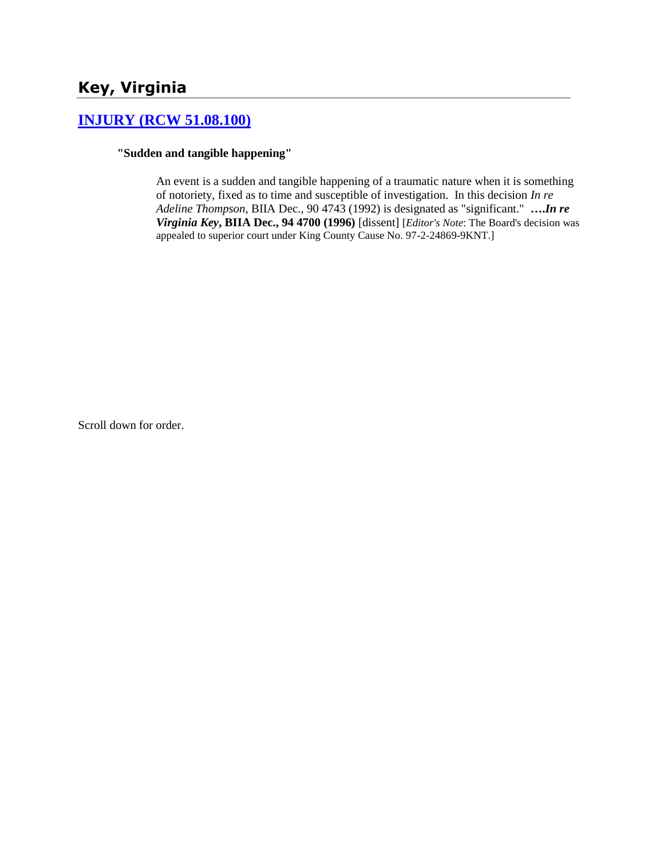# **Key, Virginia**

### **[INJURY \(RCW 51.08.100\)](http://www.biia.wa.gov/SDSubjectIndex.html#INJURY)**

#### **"Sudden and tangible happening"**

An event is a sudden and tangible happening of a traumatic nature when it is something of notoriety, fixed as to time and susceptible of investigation. In this decision *In re Adeline Thompson*, BIIA Dec., 90 4743 (1992) is designated as "significant." **….***In re Virginia Key***, BIIA Dec., 94 4700 (1996)** [dissent] [*Editor's Note*: The Board's decision was appealed to superior court under King County Cause No. 97-2-24869-9KNT.]

Scroll down for order.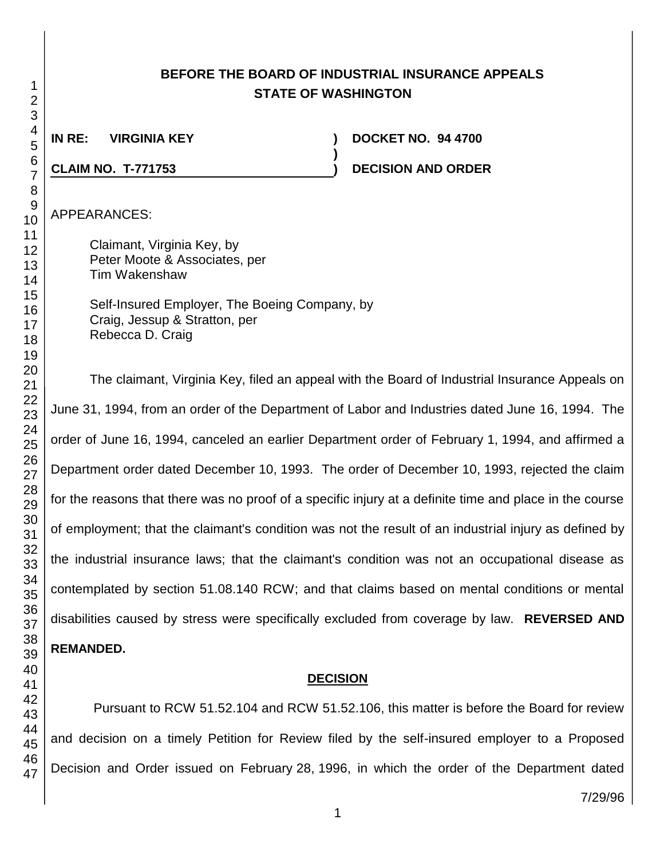# **BEFORE THE BOARD OF INDUSTRIAL INSURANCE APPEALS STATE OF WASHINGTON**

**)**

**IN RE: VIRGINIA KEY ) DOCKET NO. 94 4700**

**CLAIM NO. T-771753 ) DECISION AND ORDER** 

APPEARANCES:

Claimant, Virginia Key, by Peter Moote & Associates, per Tim Wakenshaw

Self-Insured Employer, The Boeing Company, by Craig, Jessup & Stratton, per Rebecca D. Craig

The claimant, Virginia Key, filed an appeal with the Board of Industrial Insurance Appeals on June 31, 1994, from an order of the Department of Labor and Industries dated June 16, 1994. The order of June 16, 1994, canceled an earlier Department order of February 1, 1994, and affirmed a Department order dated December 10, 1993. The order of December 10, 1993, rejected the claim for the reasons that there was no proof of a specific injury at a definite time and place in the course of employment; that the claimant's condition was not the result of an industrial injury as defined by the industrial insurance laws; that the claimant's condition was not an occupational disease as contemplated by section 51.08.140 RCW; and that claims based on mental conditions or mental disabilities caused by stress were specifically excluded from coverage by law. **REVERSED AND REMANDED.**

#### **DECISION**

Pursuant to RCW 51.52.104 and RCW 51.52.106, this matter is before the Board for review and decision on a timely Petition for Review filed by the self-insured employer to a Proposed Decision and Order issued on February 28, 1996, in which the order of the Department dated

 

7/29/96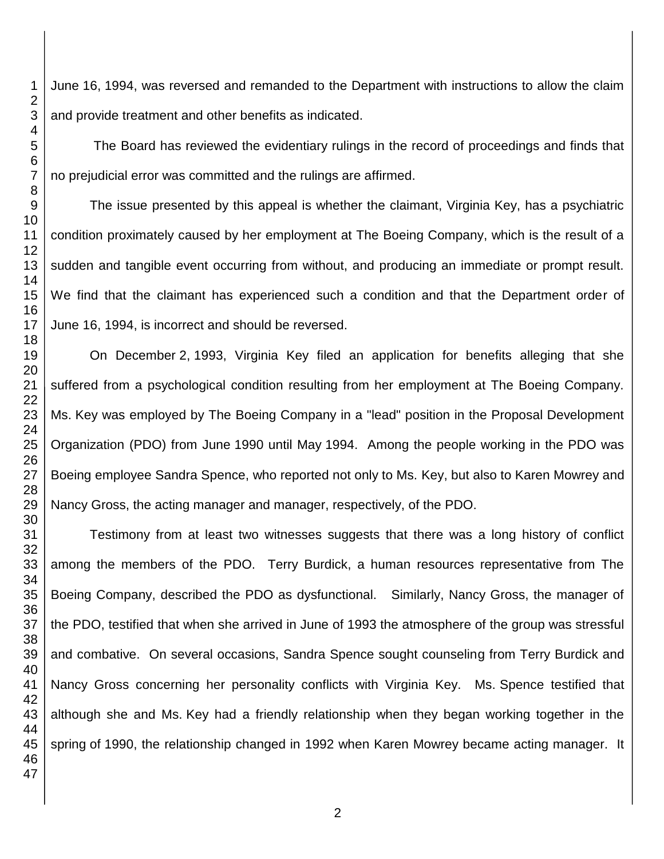June 16, 1994, was reversed and remanded to the Department with instructions to allow the claim and provide treatment and other benefits as indicated.

The Board has reviewed the evidentiary rulings in the record of proceedings and finds that no prejudicial error was committed and the rulings are affirmed.

The issue presented by this appeal is whether the claimant, Virginia Key, has a psychiatric condition proximately caused by her employment at The Boeing Company, which is the result of a sudden and tangible event occurring from without, and producing an immediate or prompt result. We find that the claimant has experienced such a condition and that the Department order of June 16, 1994, is incorrect and should be reversed.

On December 2, 1993, Virginia Key filed an application for benefits alleging that she suffered from a psychological condition resulting from her employment at The Boeing Company. Ms. Key was employed by The Boeing Company in a "lead" position in the Proposal Development Organization (PDO) from June 1990 until May 1994. Among the people working in the PDO was Boeing employee Sandra Spence, who reported not only to Ms. Key, but also to Karen Mowrey and Nancy Gross, the acting manager and manager, respectively, of the PDO.

Testimony from at least two witnesses suggests that there was a long history of conflict among the members of the PDO. Terry Burdick, a human resources representative from The Boeing Company, described the PDO as dysfunctional. Similarly, Nancy Gross, the manager of the PDO, testified that when she arrived in June of 1993 the atmosphere of the group was stressful and combative. On several occasions, Sandra Spence sought counseling from Terry Burdick and Nancy Gross concerning her personality conflicts with Virginia Key. Ms. Spence testified that although she and Ms. Key had a friendly relationship when they began working together in the spring of 1990, the relationship changed in 1992 when Karen Mowrey became acting manager. It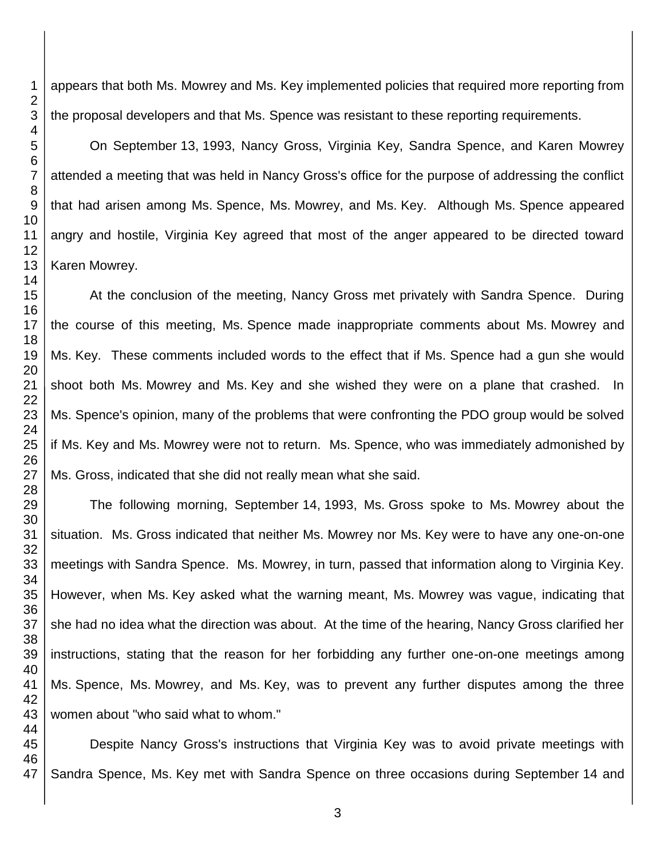appears that both Ms. Mowrey and Ms. Key implemented policies that required more reporting from the proposal developers and that Ms. Spence was resistant to these reporting requirements.

On September 13, 1993, Nancy Gross, Virginia Key, Sandra Spence, and Karen Mowrey attended a meeting that was held in Nancy Gross's office for the purpose of addressing the conflict that had arisen among Ms. Spence, Ms. Mowrey, and Ms. Key. Although Ms. Spence appeared angry and hostile, Virginia Key agreed that most of the anger appeared to be directed toward Karen Mowrey.

At the conclusion of the meeting, Nancy Gross met privately with Sandra Spence. During the course of this meeting, Ms. Spence made inappropriate comments about Ms. Mowrey and Ms. Key. These comments included words to the effect that if Ms. Spence had a gun she would shoot both Ms. Mowrey and Ms. Key and she wished they were on a plane that crashed. In Ms. Spence's opinion, many of the problems that were confronting the PDO group would be solved if Ms. Key and Ms. Mowrey were not to return. Ms. Spence, who was immediately admonished by Ms. Gross, indicated that she did not really mean what she said.

 The following morning, September 14, 1993, Ms. Gross spoke to Ms. Mowrey about the situation. Ms. Gross indicated that neither Ms. Mowrey nor Ms. Key were to have any one-on-one meetings with Sandra Spence. Ms. Mowrey, in turn, passed that information along to Virginia Key. However, when Ms. Key asked what the warning meant, Ms. Mowrey was vague, indicating that she had no idea what the direction was about. At the time of the hearing, Nancy Gross clarified her instructions, stating that the reason for her forbidding any further one-on-one meetings among Ms. Spence, Ms. Mowrey, and Ms. Key, was to prevent any further disputes among the three women about "who said what to whom."

 Despite Nancy Gross's instructions that Virginia Key was to avoid private meetings with Sandra Spence, Ms. Key met with Sandra Spence on three occasions during September 14 and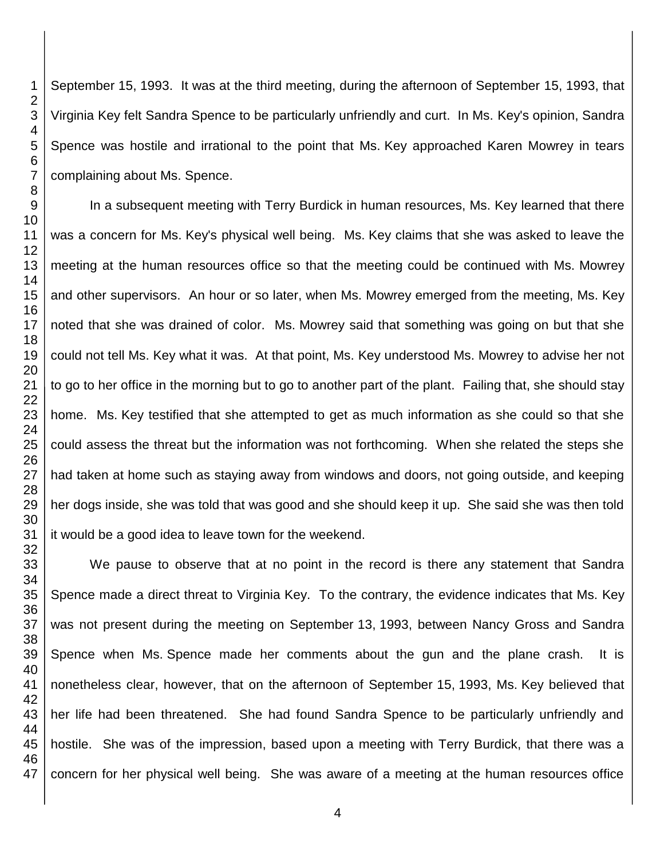September 15, 1993. It was at the third meeting, during the afternoon of September 15, 1993, that Virginia Key felt Sandra Spence to be particularly unfriendly and curt. In Ms. Key's opinion, Sandra Spence was hostile and irrational to the point that Ms. Key approached Karen Mowrey in tears complaining about Ms. Spence. In a subsequent meeting with Terry Burdick in human resources, Ms. Key learned that there was a concern for Ms. Key's physical well being. Ms. Key claims that she was asked to leave the meeting at the human resources office so that the meeting could be continued with Ms. Mowrey and other supervisors. An hour or so later, when Ms. Mowrey emerged from the meeting, Ms. Key noted that she was drained of color. Ms. Mowrey said that something was going on but that she could not tell Ms. Key what it was. At that point, Ms. Key understood Ms. Mowrey to advise her not to go to her office in the morning but to go to another part of the plant. Failing that, she should stay

home. Ms. Key testified that she attempted to get as much information as she could so that she could assess the threat but the information was not forthcoming. When she related the steps she had taken at home such as staying away from windows and doors, not going outside, and keeping her dogs inside, she was told that was good and she should keep it up. She said she was then told it would be a good idea to leave town for the weekend.

We pause to observe that at no point in the record is there any statement that Sandra Spence made a direct threat to Virginia Key. To the contrary, the evidence indicates that Ms. Key was not present during the meeting on September 13, 1993, between Nancy Gross and Sandra Spence when Ms. Spence made her comments about the gun and the plane crash. It is nonetheless clear, however, that on the afternoon of September 15, 1993, Ms. Key believed that her life had been threatened. She had found Sandra Spence to be particularly unfriendly and hostile. She was of the impression, based upon a meeting with Terry Burdick, that there was a concern for her physical well being. She was aware of a meeting at the human resources office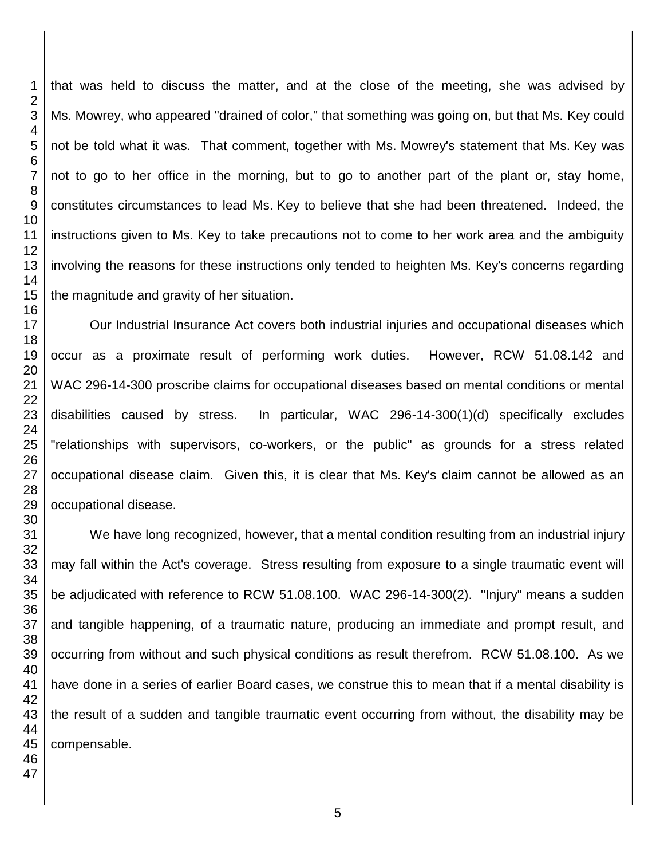that was held to discuss the matter, and at the close of the meeting, she was advised by Ms. Mowrey, who appeared "drained of color," that something was going on, but that Ms. Key could not be told what it was. That comment, together with Ms. Mowrey's statement that Ms. Key was not to go to her office in the morning, but to go to another part of the plant or, stay home, constitutes circumstances to lead Ms. Key to believe that she had been threatened. Indeed, the instructions given to Ms. Key to take precautions not to come to her work area and the ambiguity involving the reasons for these instructions only tended to heighten Ms. Key's concerns regarding the magnitude and gravity of her situation.

Our Industrial Insurance Act covers both industrial injuries and occupational diseases which occur as a proximate result of performing work duties. However, RCW 51.08.142 and WAC 296-14-300 proscribe claims for occupational diseases based on mental conditions or mental disabilities caused by stress. In particular, WAC 296-14-300(1)(d) specifically excludes "relationships with supervisors, co-workers, or the public" as grounds for a stress related occupational disease claim. Given this, it is clear that Ms. Key's claim cannot be allowed as an occupational disease.

We have long recognized, however, that a mental condition resulting from an industrial injury may fall within the Act's coverage. Stress resulting from exposure to a single traumatic event will be adjudicated with reference to RCW 51.08.100. WAC 296-14-300(2). "Injury" means a sudden and tangible happening, of a traumatic nature, producing an immediate and prompt result, and occurring from without and such physical conditions as result therefrom. RCW 51.08.100. As we have done in a series of earlier Board cases, we construe this to mean that if a mental disability is the result of a sudden and tangible traumatic event occurring from without, the disability may be compensable.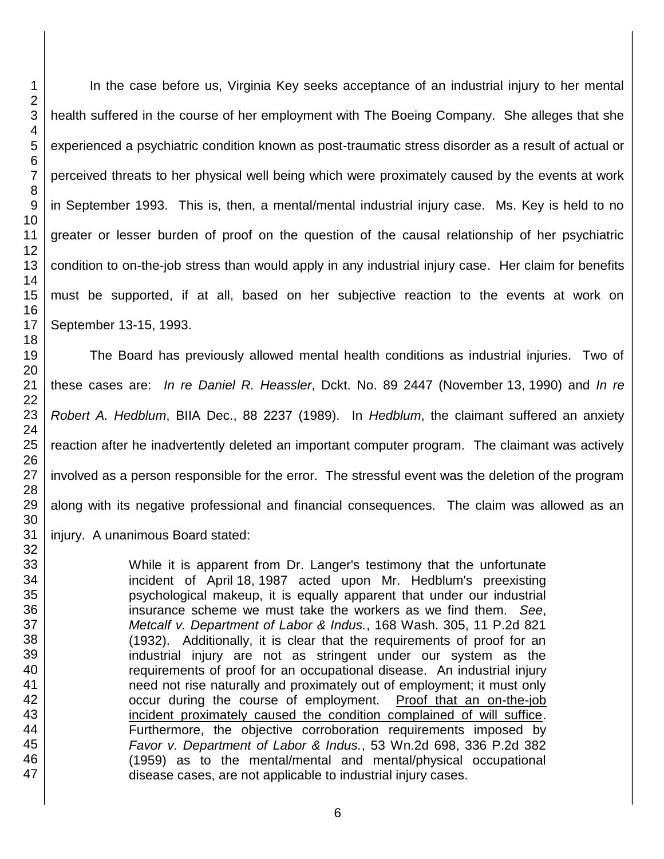In the case before us, Virginia Key seeks acceptance of an industrial injury to her mental health suffered in the course of her employment with The Boeing Company. She alleges that she experienced a psychiatric condition known as post-traumatic stress disorder as a result of actual or perceived threats to her physical well being which were proximately caused by the events at work in September 1993. This is, then, a mental/mental industrial injury case. Ms. Key is held to no greater or lesser burden of proof on the question of the causal relationship of her psychiatric condition to on-the-job stress than would apply in any industrial injury case. Her claim for benefits must be supported, if at all, based on her subjective reaction to the events at work on September 13-15, 1993.

The Board has previously allowed mental health conditions as industrial injuries. Two of these cases are: *In re Daniel R. Heassler*, Dckt. No. 89 2447 (November 13, 1990) and *In re Robert A. Hedblum*, BIIA Dec., 88 2237 (1989). In *Hedblum*, the claimant suffered an anxiety reaction after he inadvertently deleted an important computer program. The claimant was actively involved as a person responsible for the error. The stressful event was the deletion of the program along with its negative professional and financial consequences. The claim was allowed as an injury. A unanimous Board stated:

> While it is apparent from Dr. Langer's testimony that the unfortunate incident of April 18, 1987 acted upon Mr. Hedblum's preexisting psychological makeup, it is equally apparent that under our industrial insurance scheme we must take the workers as we find them. *See*, *Metcalf v. Department of Labor & Indus.*, 168 Wash. 305, 11 P.2d 821 (1932). Additionally, it is clear that the requirements of proof for an industrial injury are not as stringent under our system as the requirements of proof for an occupational disease. An industrial injury need not rise naturally and proximately out of employment; it must only occur during the course of employment. Proof that an on-the-job incident proximately caused the condition complained of will suffice. Furthermore, the objective corroboration requirements imposed by *Favor v. Department of Labor & Indus.*, 53 Wn.2d 698, 336 P.2d 382 (1959) as to the mental/mental and mental/physical occupational disease cases, are not applicable to industrial injury cases.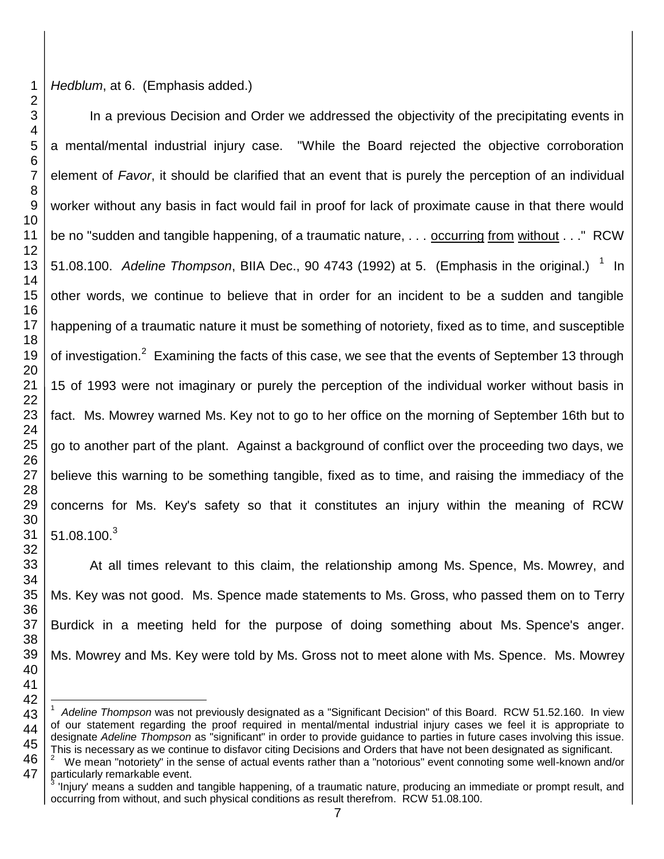*Hedblum*, at 6. (Emphasis added.)

In a previous Decision and Order we addressed the objectivity of the precipitating events in a mental/mental industrial injury case. "While the Board rejected the objective corroboration element of *Favor*, it should be clarified that an event that is purely the perception of an individual worker without any basis in fact would fail in proof for lack of proximate cause in that there would be no "sudden and tangible happening, of a traumatic nature, . . . occurring from without . . ." RCW 51.08.100. Adeline Thompson, BIIA Dec., 90 4743 (1992) at 5. (Emphasis in the original.)  $1$  In other words, we continue to believe that in order for an incident to be a sudden and tangible happening of a traumatic nature it must be something of notoriety, fixed as to time, and susceptible of investigation.<sup>2</sup> Examining the facts of this case, we see that the events of September 13 through 15 of 1993 were not imaginary or purely the perception of the individual worker without basis in fact. Ms. Mowrey warned Ms. Key not to go to her office on the morning of September 16th but to go to another part of the plant. Against a background of conflict over the proceeding two days, we believe this warning to be something tangible, fixed as to time, and raising the immediacy of the concerns for Ms. Key's safety so that it constitutes an injury within the meaning of RCW 51.08.100. $^3$ 

At all times relevant to this claim, the relationship among Ms. Spence, Ms. Mowrey, and Ms. Key was not good. Ms. Spence made statements to Ms. Gross, who passed them on to Terry Burdick in a meeting held for the purpose of doing something about Ms. Spence's anger. Ms. Mowrey and Ms. Key were told by Ms. Gross not to meet alone with Ms. Spence. Ms. Mowrey

 l *Adeline Thompson* was not previously designated as a "Significant Decision" of this Board. RCW 51.52.160. In view of our statement regarding the proof required in mental/mental industrial injury cases we feel it is appropriate to designate *Adeline Thompson* as "significant" in order to provide guidance to parties in future cases involving this issue. This is necessary as we continue to disfavor citing Decisions and Orders that have not been designated as significant.

 <sup>2</sup> We mean "notoriety" in the sense of actual events rather than a "notorious" event connoting some well-known and/or particularly remarkable event.

<sup>&#</sup>x27;Injury' means a sudden and tangible happening, of a traumatic nature, producing an immediate or prompt result, and occurring from without, and such physical conditions as result therefrom. RCW 51.08.100.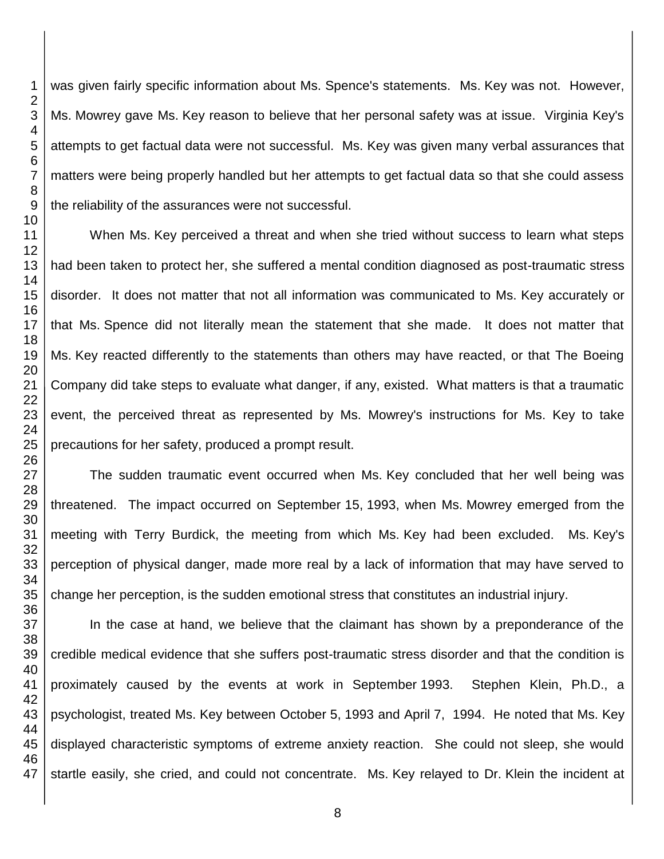was given fairly specific information about Ms. Spence's statements. Ms. Key was not. However, Ms. Mowrey gave Ms. Key reason to believe that her personal safety was at issue. Virginia Key's attempts to get factual data were not successful. Ms. Key was given many verbal assurances that matters were being properly handled but her attempts to get factual data so that she could assess the reliability of the assurances were not successful.

When Ms. Key perceived a threat and when she tried without success to learn what steps had been taken to protect her, she suffered a mental condition diagnosed as post-traumatic stress disorder. It does not matter that not all information was communicated to Ms. Key accurately or that Ms. Spence did not literally mean the statement that she made. It does not matter that Ms. Key reacted differently to the statements than others may have reacted, or that The Boeing Company did take steps to evaluate what danger, if any, existed. What matters is that a traumatic event, the perceived threat as represented by Ms. Mowrey's instructions for Ms. Key to take precautions for her safety, produced a prompt result.

The sudden traumatic event occurred when Ms. Key concluded that her well being was threatened. The impact occurred on September 15, 1993, when Ms. Mowrey emerged from the meeting with Terry Burdick, the meeting from which Ms. Key had been excluded. Ms. Key's perception of physical danger, made more real by a lack of information that may have served to change her perception, is the sudden emotional stress that constitutes an industrial injury.

In the case at hand, we believe that the claimant has shown by a preponderance of the credible medical evidence that she suffers post-traumatic stress disorder and that the condition is proximately caused by the events at work in September 1993. Stephen Klein, Ph.D., a psychologist, treated Ms. Key between October 5, 1993 and April 7, 1994. He noted that Ms. Key displayed characteristic symptoms of extreme anxiety reaction. She could not sleep, she would startle easily, she cried, and could not concentrate. Ms. Key relayed to Dr. Klein the incident at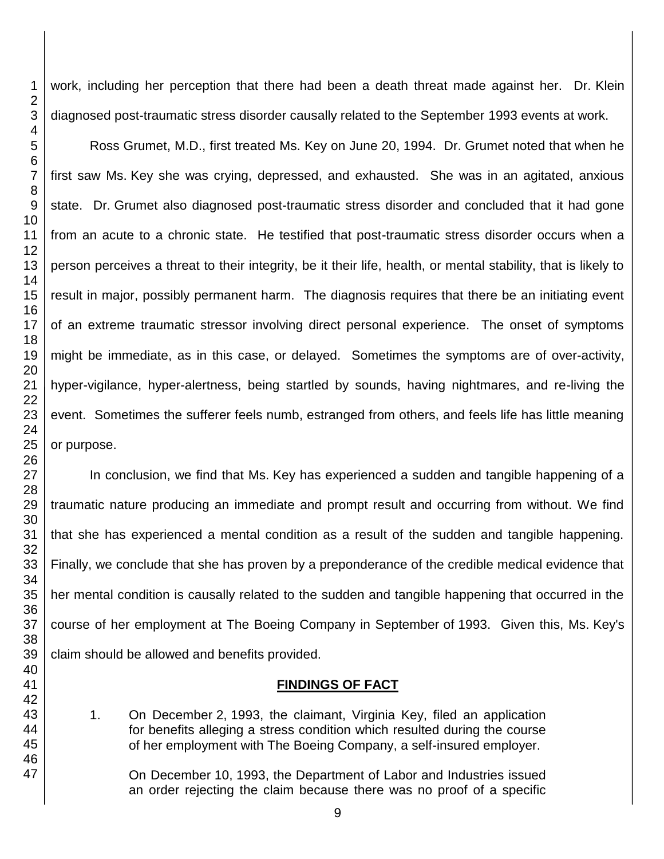work, including her perception that there had been a death threat made against her. Dr. Klein diagnosed post-traumatic stress disorder causally related to the September 1993 events at work.

Ross Grumet, M.D., first treated Ms. Key on June 20, 1994. Dr. Grumet noted that when he first saw Ms. Key she was crying, depressed, and exhausted. She was in an agitated, anxious state. Dr. Grumet also diagnosed post-traumatic stress disorder and concluded that it had gone from an acute to a chronic state. He testified that post-traumatic stress disorder occurs when a person perceives a threat to their integrity, be it their life, health, or mental stability, that is likely to result in major, possibly permanent harm. The diagnosis requires that there be an initiating event of an extreme traumatic stressor involving direct personal experience. The onset of symptoms might be immediate, as in this case, or delayed. Sometimes the symptoms are of over-activity, hyper-vigilance, hyper-alertness, being startled by sounds, having nightmares, and re-living the event. Sometimes the sufferer feels numb, estranged from others, and feels life has little meaning or purpose.

In conclusion, we find that Ms. Key has experienced a sudden and tangible happening of a traumatic nature producing an immediate and prompt result and occurring from without. We find that she has experienced a mental condition as a result of the sudden and tangible happening. Finally, we conclude that she has proven by a preponderance of the credible medical evidence that her mental condition is causally related to the sudden and tangible happening that occurred in the course of her employment at The Boeing Company in September of 1993. Given this, Ms. Key's claim should be allowed and benefits provided.

#### **FINDINGS OF FACT**

1. On December 2, 1993, the claimant, Virginia Key, filed an application for benefits alleging a stress condition which resulted during the course of her employment with The Boeing Company, a self-insured employer.

On December 10, 1993, the Department of Labor and Industries issued an order rejecting the claim because there was no proof of a specific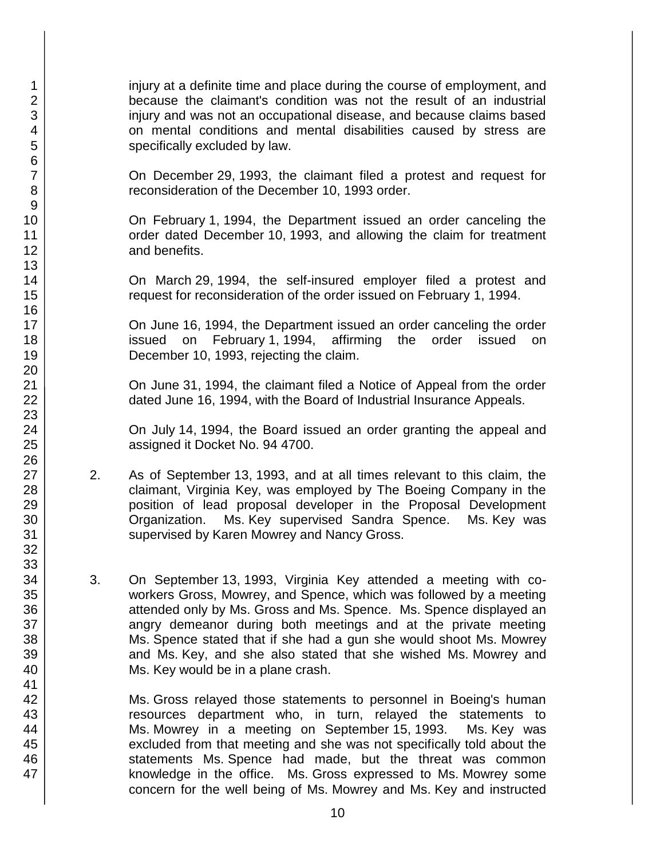injury at a definite time and place during the course of employment, and because the claimant's condition was not the result of an industrial injury and was not an occupational disease, and because claims based on mental conditions and mental disabilities caused by stress are specifically excluded by law.

On December 29, 1993, the claimant filed a protest and request for reconsideration of the December 10, 1993 order.

On February 1, 1994, the Department issued an order canceling the order dated December 10, 1993, and allowing the claim for treatment and benefits.

On March 29, 1994, the self-insured employer filed a protest and request for reconsideration of the order issued on February 1, 1994.

On June 16, 1994, the Department issued an order canceling the order issued on February 1, 1994, affirming the order issued on December 10, 1993, rejecting the claim.

On June 31, 1994, the claimant filed a Notice of Appeal from the order dated June 16, 1994, with the Board of Industrial Insurance Appeals.

On July 14, 1994, the Board issued an order granting the appeal and assigned it Docket No. 94 4700.

- 2. As of September 13, 1993, and at all times relevant to this claim, the claimant, Virginia Key, was employed by The Boeing Company in the position of lead proposal developer in the Proposal Development Organization. Ms. Key supervised Sandra Spence. Ms. Key was supervised by Karen Mowrey and Nancy Gross.
- 3. On September 13, 1993, Virginia Key attended a meeting with coworkers Gross, Mowrey, and Spence, which was followed by a meeting attended only by Ms. Gross and Ms. Spence. Ms. Spence displayed an angry demeanor during both meetings and at the private meeting Ms. Spence stated that if she had a gun she would shoot Ms. Mowrey and Ms. Key, and she also stated that she wished Ms. Mowrey and Ms. Key would be in a plane crash.

Ms. Gross relayed those statements to personnel in Boeing's human resources department who, in turn, relayed the statements to Ms. Mowrey in a meeting on September 15, 1993. Ms. Key was excluded from that meeting and she was not specifically told about the statements Ms. Spence had made, but the threat was common knowledge in the office. Ms. Gross expressed to Ms. Mowrey some concern for the well being of Ms. Mowrey and Ms. Key and instructed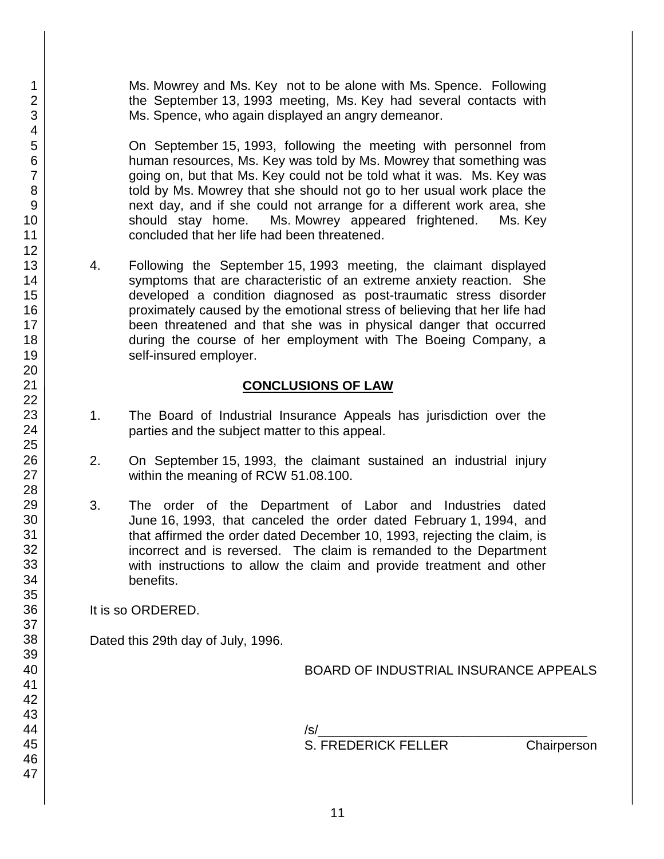Ms. Mowrey and Ms. Key not to be alone with Ms. Spence. Following the September 13, 1993 meeting, Ms. Key had several contacts with Ms. Spence, who again displayed an angry demeanor.

On September 15, 1993, following the meeting with personnel from human resources, Ms. Key was told by Ms. Mowrey that something was going on, but that Ms. Key could not be told what it was. Ms. Key was told by Ms. Mowrey that she should not go to her usual work place the next day, and if she could not arrange for a different work area, she should stay home. Ms. Mowrey appeared frightened. Ms. Key concluded that her life had been threatened.

4. Following the September 15, 1993 meeting, the claimant displayed symptoms that are characteristic of an extreme anxiety reaction. She developed a condition diagnosed as post-traumatic stress disorder proximately caused by the emotional stress of believing that her life had been threatened and that she was in physical danger that occurred during the course of her employment with The Boeing Company, a self-insured employer.

# **CONCLUSIONS OF LAW**

- 1. The Board of Industrial Insurance Appeals has jurisdiction over the parties and the subject matter to this appeal.
- 2. On September 15, 1993, the claimant sustained an industrial injury within the meaning of RCW 51.08.100.
- 3. The order of the Department of Labor and Industries dated June 16, 1993, that canceled the order dated February 1, 1994, and that affirmed the order dated December 10, 1993, rejecting the claim, is incorrect and is reversed. The claim is remanded to the Department with instructions to allow the claim and provide treatment and other benefits.

It is so ORDERED.

Dated this 29th day of July, 1996.

BOARD OF INDUSTRIAL INSURANCE APPEALS

/s/\_\_\_\_\_\_\_\_\_\_\_\_\_\_\_\_\_\_\_\_\_\_\_\_\_\_\_\_\_\_\_\_\_\_\_\_\_ S. FREDERICK FELLER Chairperson

1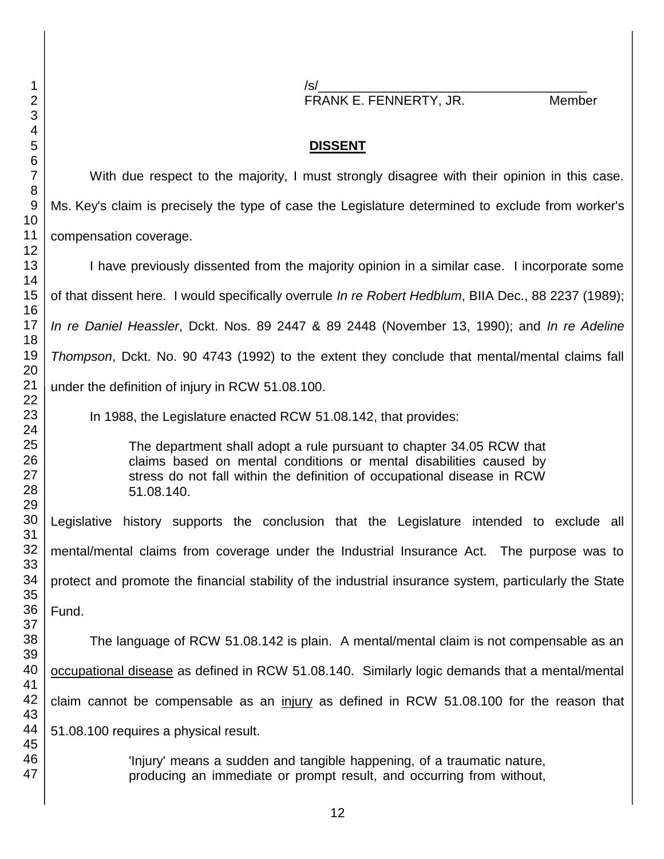/s/\_\_\_\_\_\_\_\_\_\_\_\_\_\_\_\_\_\_\_\_\_\_\_\_\_\_\_\_\_\_\_\_\_\_\_\_\_

FRANK E. FENNERTY, JR. Member

## **DISSENT**

With due respect to the majority, I must strongly disagree with their opinion in this case. Ms. Key's claim is precisely the type of case the Legislature determined to exclude from worker's compensation coverage.

I have previously dissented from the majority opinion in a similar case. I incorporate some of that dissent here. I would specifically overrule *In re Robert Hedblum*, BIIA Dec., 88 2237 (1989); *In re Daniel Heassler*, Dckt. Nos. 89 2447 & 89 2448 (November 13, 1990); and *In re Adeline Thompson*, Dckt. No. 90 4743 (1992) to the extent they conclude that mental/mental claims fall under the definition of injury in RCW 51.08.100.

In 1988, the Legislature enacted RCW 51.08.142, that provides:

The department shall adopt a rule pursuant to chapter 34.05 RCW that claims based on mental conditions or mental disabilities caused by stress do not fall within the definition of occupational disease in RCW 51.08.140.

Legislative history supports the conclusion that the Legislature intended to exclude all mental/mental claims from coverage under the Industrial Insurance Act. The purpose was to protect and promote the financial stability of the industrial insurance system, particularly the State Fund.

The language of RCW 51.08.142 is plain. A mental/mental claim is not compensable as an occupational disease as defined in RCW 51.08.140. Similarly logic demands that a mental/mental claim cannot be compensable as an injury as defined in RCW 51.08.100 for the reason that 51.08.100 requires a physical result.

> 'Injury' means a sudden and tangible happening, of a traumatic nature, producing an immediate or prompt result, and occurring from without,